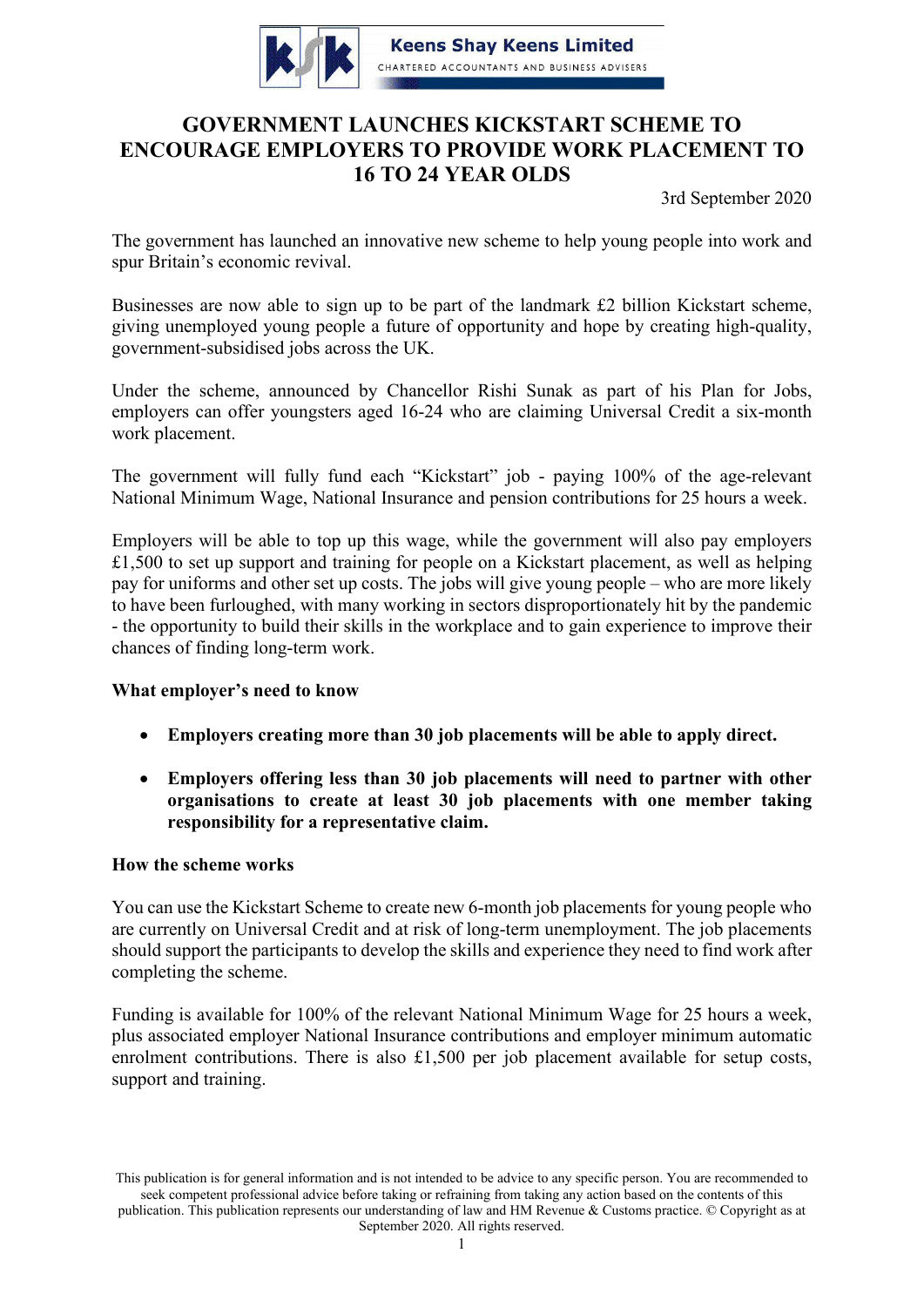

**Keens Shay Keens Limited** CHARTERED ACCOUNTANTS AND BUSINESS ADVISERS

# **GOVERNMENT LAUNCHES KICKSTART SCHEME TO ENCOURAGE EMPLOYERS TO PROVIDE WORK PLACEMENT TO 16 TO 24 YEAR OLDS**

3rd September 2020

The government has launched an innovative new scheme to help young people into work and spur Britain's economic revival.

Businesses are now able to sign up to be part of the landmark £2 billion Kickstart scheme, giving unemployed young people a future of opportunity and hope by creating high-quality, government-subsidised jobs across the UK.

Under the scheme, announced by Chancellor Rishi Sunak as part of his Plan for Jobs, employers can offer youngsters aged 16-24 who are claiming Universal Credit a six-month work placement.

The government will fully fund each "Kickstart" job - paying 100% of the age-relevant National Minimum Wage, National Insurance and pension contributions for 25 hours a week.

Employers will be able to top up this wage, while the government will also pay employers £1,500 to set up support and training for people on a Kickstart placement, as well as helping pay for uniforms and other set up costs. The jobs will give young people – who are more likely to have been furloughed, with many working in sectors disproportionately hit by the pandemic - the opportunity to build their skills in the workplace and to gain experience to improve their chances of finding long-term work.

# **What employer's need to know**

- **Employers creating more than 30 job placements will be able to apply direct.**
- **Employers offering less than 30 job placements will need to partner with other organisations to create at least 30 job placements with one member taking responsibility for a representative claim.**

# **How the scheme works**

You can use the Kickstart Scheme to create new 6-month job placements for young people who are currently on Universal Credit and at risk of long-term unemployment. The job placements should support the participants to develop the skills and experience they need to find work after completing the scheme.

Funding is available for 100% of the relevant National Minimum Wage for 25 hours a week, plus associated employer National Insurance contributions and employer minimum automatic enrolment contributions. There is also £1,500 per job placement available for setup costs, support and training.

This publication is for general information and is not intended to be advice to any specific person. You are recommended to seek competent professional advice before taking or refraining from taking any action based on the contents of this publication. This publication represents our understanding of law and HM Revenue & Customs practice. © Copyright as at September 2020. All rights reserved.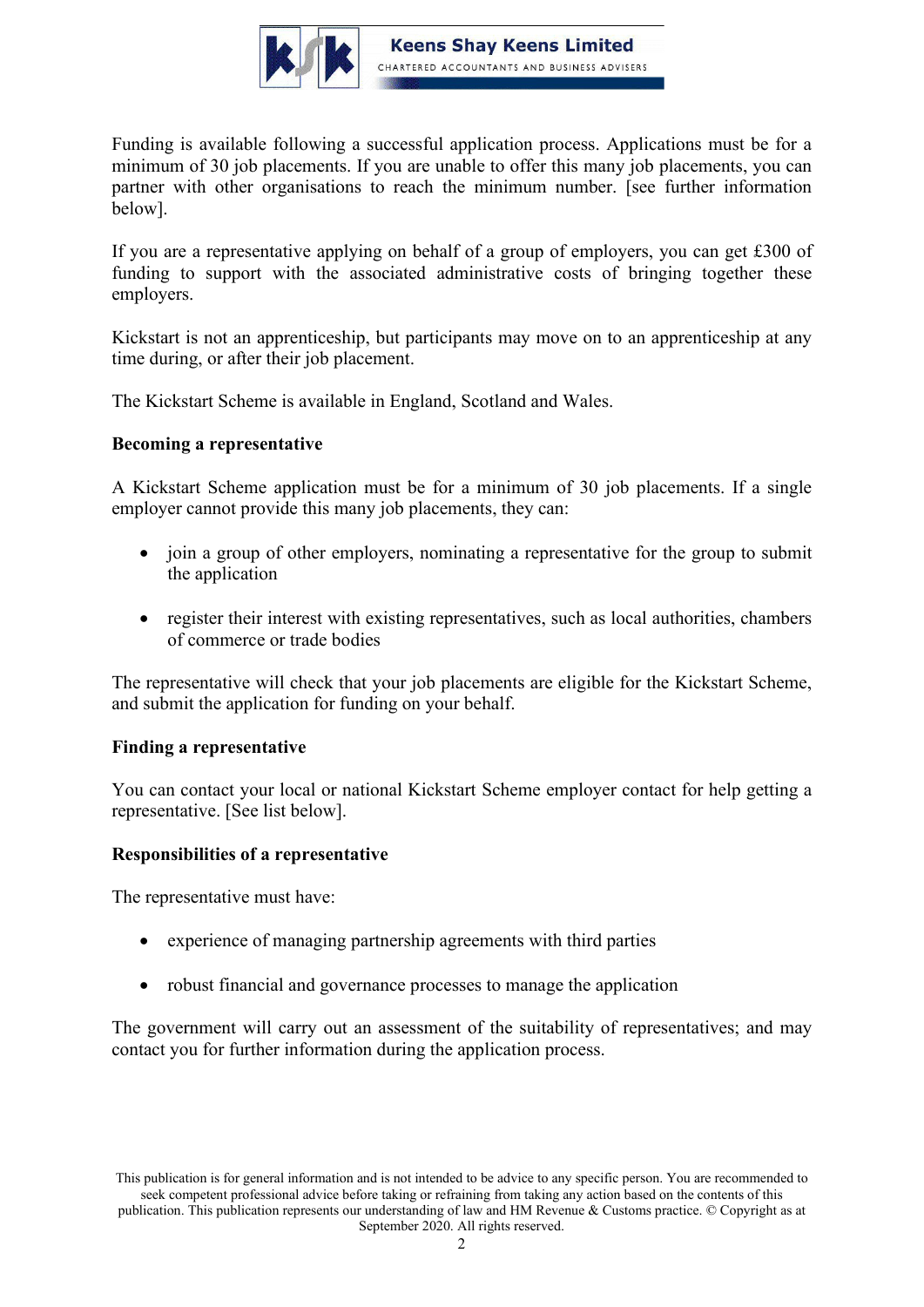

Funding is available following a successful application process. Applications must be for a minimum of 30 job placements. If you are unable to offer this many job placements, [you can](https://www.gov.uk/guidance/check-if-you-can-apply-for-a-grant-as-a-representative-of-a-group-of-employers-through-the-kickstart-scheme)  [partner with other organisations to reach the minimum number.](https://www.gov.uk/guidance/check-if-you-can-apply-for-a-grant-as-a-representative-of-a-group-of-employers-through-the-kickstart-scheme) [see further information below].

If you are a representative applying on behalf of a group of employers, you can get £300 of funding to support with the associated administrative costs of bringing together these employers.

Kickstart is not an apprenticeship, but participants may move on to an apprenticeship at any time during, or after their job placement.

The Kickstart Scheme is available in England, Scotland and Wales.

## **Becoming a representative**

A Kickstart Scheme application must be for a minimum of 30 job placements. If a single employer cannot provide this many job placements, they can:

- join a group of other employers, nominating a representative for the group to submit the application
- register their interest with existing representatives, such as local authorities, chambers of commerce or trade bodies

The representative will check that your job placements are [eligible for the Kickstart Scheme,](https://gov.uk/guidance/check-if-you-can-apply-for-a-grant-through-the-kickstart-scheme#who) and [submit the application for funding on your behalf.](https://www.gov.uk/guidance/apply-for-a-grant-through-the-kickstart-scheme)

#### **Finding a representative**

You can contact your [local or national Kickstart Scheme employer contact](https://www.gov.uk/government/publications/kickstart-scheme-employer-contacts) for help getting a representative. [See list below].

#### **Responsibilities of a representative**

The representative must have:

- experience of managing partnership agreements with third parties
- robust financial and governance processes to manage the application

The government will carry out an assessment of the suitability of representatives; and may contact you for further information during the application process.

This publication is for general information and is not intended to be advice to any specific person. You are recommended to seek competent professional advice before taking or refraining from taking any action based on the contents of this publication. This publication represents our understanding of law and HM Revenue & Customs practice. © Copyright as at September 2020. All rights reserved.